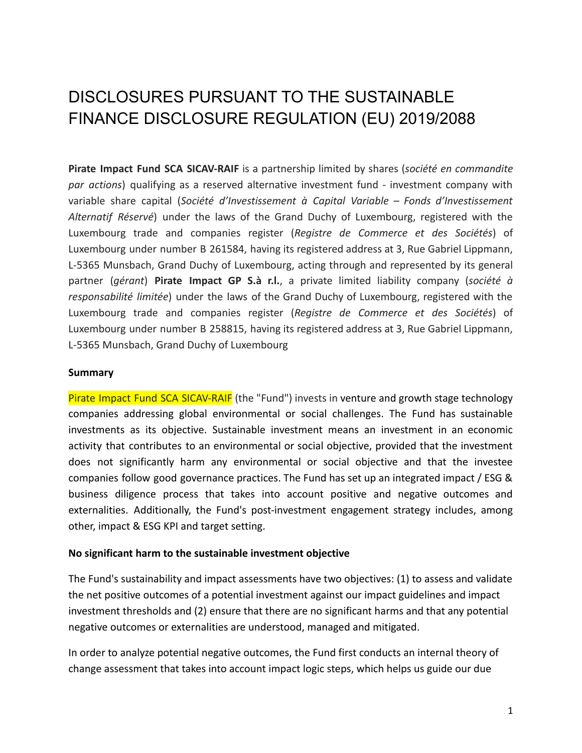# DISCLOSURES PURSUANT TO THE SUSTAINABLE FINANCE DISCLOSURE REGULATION (EU) 2019/2088

**Pirate Impact Fund SCA SICAV-RAIF** is a partnership limited by shares (*société en commandite par actions*) qualifying as a reserved alternative investment fund - investment company with variable share capital (*Société d'Investissement à Capital Variable – Fonds d'Investissement Alternatif Réservé*) under the laws of the Grand Duchy of Luxembourg, registered with the Luxembourg trade and companies register (*Registre de Commerce et des Sociétés*) of Luxembourg under number B 261584, having its registered address at 3, Rue Gabriel Lippmann, L-5365 Munsbach, Grand Duchy of Luxembourg, acting through and represented by its general partner (*gérant*) **Pirate Impact GP S.à r.l.**, a private limited liability company (*société à responsabilité limitée*) under the laws of the Grand Duchy of Luxembourg, registered with the Luxembourg trade and companies register (*Registre de Commerce et des Sociétés*) of Luxembourg under number B 258815, having its registered address at 3, Rue Gabriel Lippmann, L-5365 Munsbach, Grand Duchy of Luxembourg

#### **Summary**

Pirate Impact Fund SCA SICAV-RAIF (the "Fund") invests in venture and growth stage technology companies addressing global environmental or social challenges. The Fund has sustainable investments as its objective. Sustainable investment means an investment in an economic activity that contributes to an environmental or social objective, provided that the investment does not significantly harm any environmental or social objective and that the investee companies follow good governance practices. The Fund has set up an integrated impact / ESG & business diligence process that takes into account positive and negative outcomes and externalities. Additionally, the Fund's post-investment engagement strategy includes, among other, impact & ESG KPI and target setting.

#### **No significant harm to the sustainable investment objective**

The Fund's sustainability and impact assessments have two objectives: (1) to assess and validate the net positive outcomes of a potential investment against our impact guidelines and impact investment thresholds and (2) ensure that there are no significant harms and that any potential negative outcomes or externalities are understood, managed and mitigated.

In order to analyze potential negative outcomes, the Fund first conducts an internal theory of change assessment that takes into account impact logic steps, which helps us guide our due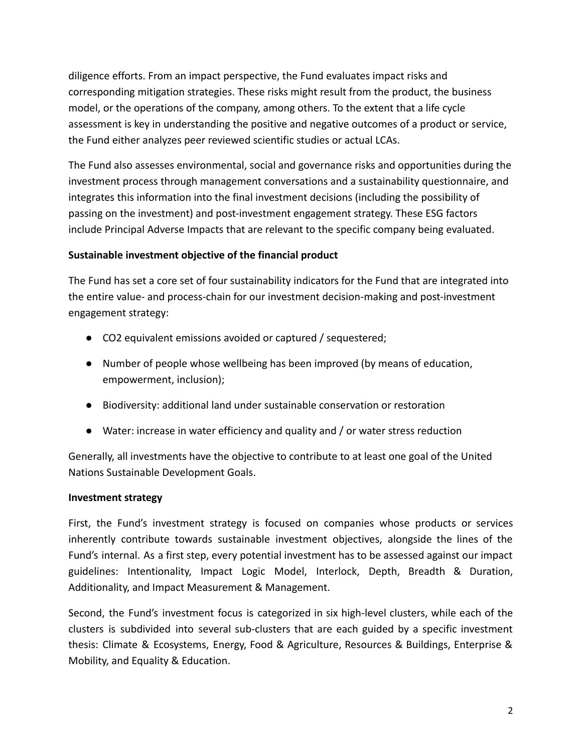diligence efforts. From an impact perspective, the Fund evaluates impact risks and corresponding mitigation strategies. These risks might result from the product, the business model, or the operations of the company, among others. To the extent that a life cycle assessment is key in understanding the positive and negative outcomes of a product or service, the Fund either analyzes peer reviewed scientific studies or actual LCAs.

The Fund also assesses environmental, social and governance risks and opportunities during the investment process through management conversations and a sustainability questionnaire, and integrates this information into the final investment decisions (including the possibility of passing on the investment) and post-investment engagement strategy. These ESG factors include Principal Adverse Impacts that are relevant to the specific company being evaluated.

#### **Sustainable investment objective of the financial product**

The Fund has set a core set of four sustainability indicators for the Fund that are integrated into the entire value- and process-chain for our investment decision-making and post-investment engagement strategy:

- CO2 equivalent emissions avoided or captured / sequestered;
- Number of people whose wellbeing has been improved (by means of education, empowerment, inclusion);
- Biodiversity: additional land under sustainable conservation or restoration
- Water: increase in water efficiency and quality and / or water stress reduction

Generally, all investments have the objective to contribute to at least one goal of the United Nations Sustainable Development Goals.

# **Investment strategy**

First, the Fund's investment strategy is focused on companies whose products or services inherently contribute towards sustainable investment objectives, alongside the lines of the Fund's internal. As a first step, every potential investment has to be assessed against our impact guidelines: Intentionality, Impact Logic Model, Interlock, Depth, Breadth & Duration, Additionality, and Impact Measurement & Management.

Second, the Fund's investment focus is categorized in six high-level clusters, while each of the clusters is subdivided into several sub-clusters that are each guided by a specific investment thesis: Climate & Ecosystems, Energy, Food & Agriculture, Resources & Buildings, Enterprise & Mobility, and Equality & Education.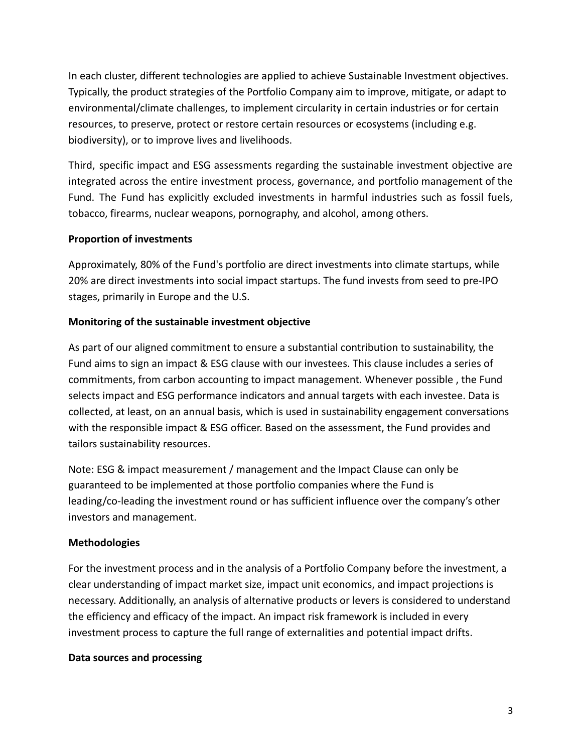In each cluster, different technologies are applied to achieve Sustainable Investment objectives. Typically, the product strategies of the Portfolio Company aim to improve, mitigate, or adapt to environmental/climate challenges, to implement circularity in certain industries or for certain resources, to preserve, protect or restore certain resources or ecosystems (including e.g. biodiversity), or to improve lives and livelihoods.

Third, specific impact and ESG assessments regarding the sustainable investment objective are integrated across the entire investment process, governance, and portfolio management of the Fund. The Fund has explicitly excluded investments in harmful industries such as fossil fuels, tobacco, firearms, nuclear weapons, pornography, and alcohol, among others.

# **Proportion of investments**

Approximately, 80% of the Fund's portfolio are direct investments into climate startups, while 20% are direct investments into social impact startups. The fund invests from seed to pre-IPO stages, primarily in Europe and the U.S.

#### **Monitoring of the sustainable investment objective**

As part of our aligned commitment to ensure a substantial contribution to sustainability, the Fund aims to sign an impact & ESG clause with our investees. This clause includes a series of commitments, from carbon accounting to impact management. Whenever possible , the Fund selects impact and ESG performance indicators and annual targets with each investee. Data is collected, at least, on an annual basis, which is used in sustainability engagement conversations with the responsible impact & ESG officer. Based on the assessment, the Fund provides and tailors sustainability resources.

Note: ESG & impact measurement / management and the Impact Clause can only be guaranteed to be implemented at those portfolio companies where the Fund is leading/co-leading the investment round or has sufficient influence over the company's other investors and management.

#### **Methodologies**

For the investment process and in the analysis of a Portfolio Company before the investment, a clear understanding of impact market size, impact unit economics, and impact projections is necessary. Additionally, an analysis of alternative products or levers is considered to understand the efficiency and efficacy of the impact. An impact risk framework is included in every investment process to capture the full range of externalities and potential impact drifts.

#### **Data sources and processing**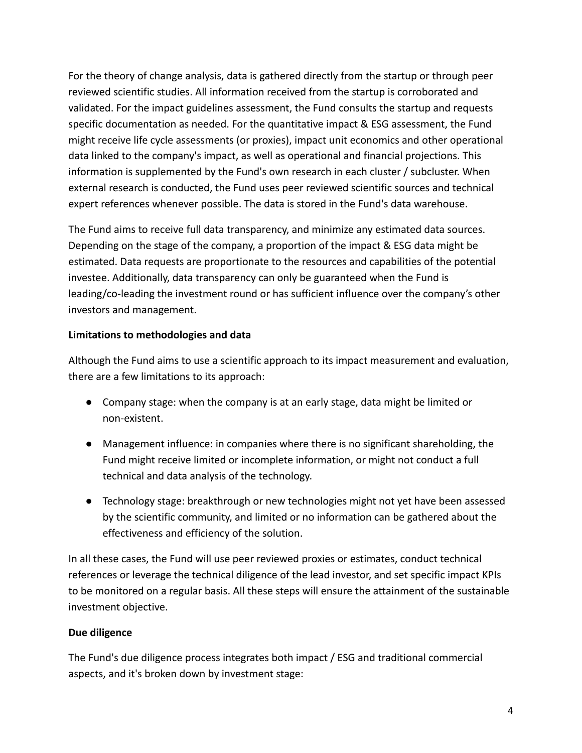For the theory of change analysis, data is gathered directly from the startup or through peer reviewed scientific studies. All information received from the startup is corroborated and validated. For the impact guidelines assessment, the Fund consults the startup and requests specific documentation as needed. For the quantitative impact & ESG assessment, the Fund might receive life cycle assessments (or proxies), impact unit economics and other operational data linked to the company's impact, as well as operational and financial projections. This information is supplemented by the Fund's own research in each cluster / subcluster. When external research is conducted, the Fund uses peer reviewed scientific sources and technical expert references whenever possible. The data is stored in the Fund's data warehouse.

The Fund aims to receive full data transparency, and minimize any estimated data sources. Depending on the stage of the company, a proportion of the impact & ESG data might be estimated. Data requests are proportionate to the resources and capabilities of the potential investee. Additionally, data transparency can only be guaranteed when the Fund is leading/co-leading the investment round or has sufficient influence over the company's other investors and management.

# **Limitations to methodologies and data**

Although the Fund aims to use a scientific approach to its impact measurement and evaluation, there are a few limitations to its approach:

- Company stage: when the company is at an early stage, data might be limited or non-existent.
- Management influence: in companies where there is no significant shareholding, the Fund might receive limited or incomplete information, or might not conduct a full technical and data analysis of the technology.
- Technology stage: breakthrough or new technologies might not yet have been assessed by the scientific community, and limited or no information can be gathered about the effectiveness and efficiency of the solution.

In all these cases, the Fund will use peer reviewed proxies or estimates, conduct technical references or leverage the technical diligence of the lead investor, and set specific impact KPIs to be monitored on a regular basis. All these steps will ensure the attainment of the sustainable investment objective.

# **Due diligence**

The Fund's due diligence process integrates both impact / ESG and traditional commercial aspects, and it's broken down by investment stage: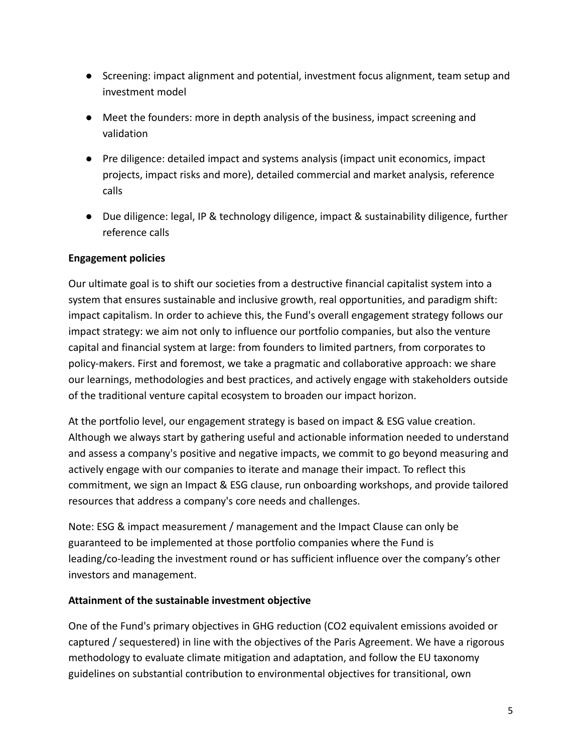- Screening: impact alignment and potential, investment focus alignment, team setup and investment model
- Meet the founders: more in depth analysis of the business, impact screening and validation
- Pre diligence: detailed impact and systems analysis (impact unit economics, impact projects, impact risks and more), detailed commercial and market analysis, reference calls
- Due diligence: legal, IP & technology diligence, impact & sustainability diligence, further reference calls

#### **Engagement policies**

Our ultimate goal is to shift our societies from a destructive financial capitalist system into a system that ensures sustainable and inclusive growth, real opportunities, and paradigm shift: impact capitalism. In order to achieve this, the Fund's overall engagement strategy follows our impact strategy: we aim not only to influence our portfolio companies, but also the venture capital and financial system at large: from founders to limited partners, from corporates to policy-makers. First and foremost, we take a pragmatic and collaborative approach: we share our learnings, methodologies and best practices, and actively engage with stakeholders outside of the traditional venture capital ecosystem to broaden our impact horizon.

At the portfolio level, our engagement strategy is based on impact & ESG value creation. Although we always start by gathering useful and actionable information needed to understand and assess a company's positive and negative impacts, we commit to go beyond measuring and actively engage with our companies to iterate and manage their impact. To reflect this commitment, we sign an Impact & ESG clause, run onboarding workshops, and provide tailored resources that address a company's core needs and challenges.

Note: ESG & impact measurement / management and the Impact Clause can only be guaranteed to be implemented at those portfolio companies where the Fund is leading/co-leading the investment round or has sufficient influence over the company's other investors and management.

#### **Attainment of the sustainable investment objective**

One of the Fund's primary objectives in GHG reduction (CO2 equivalent emissions avoided or captured / sequestered) in line with the objectives of the Paris Agreement. We have a rigorous methodology to evaluate climate mitigation and adaptation, and follow the EU taxonomy guidelines on substantial contribution to environmental objectives for transitional, own